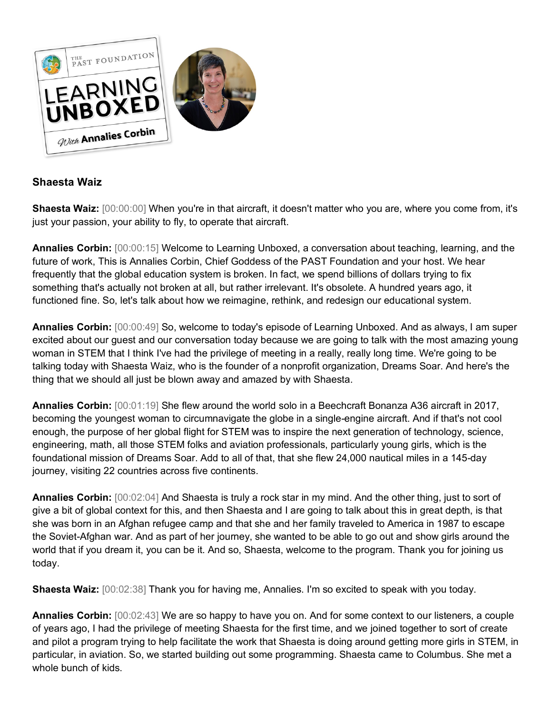

## **Shaesta Waiz**

**Shaesta Waiz:** [00:00:00] When you're in that aircraft, it doesn't matter who you are, where you come from, it's just your passion, your ability to fly, to operate that aircraft.

**Annalies Corbin:** [00:00:15] Welcome to Learning Unboxed, a conversation about teaching, learning, and the future of work, This is Annalies Corbin, Chief Goddess of the PAST Foundation and your host. We hear frequently that the global education system is broken. In fact, we spend billions of dollars trying to fix something that's actually not broken at all, but rather irrelevant. It's obsolete. A hundred years ago, it functioned fine. So, let's talk about how we reimagine, rethink, and redesign our educational system.

**Annalies Corbin:** [00:00:49] So, welcome to today's episode of Learning Unboxed. And as always, I am super excited about our guest and our conversation today because we are going to talk with the most amazing young woman in STEM that I think I've had the privilege of meeting in a really, really long time. We're going to be talking today with Shaesta Waiz, who is the founder of a nonprofit organization, Dreams Soar. And here's the thing that we should all just be blown away and amazed by with Shaesta.

**Annalies Corbin:** [00:01:19] She flew around the world solo in a Beechcraft Bonanza A36 aircraft in 2017, becoming the youngest woman to circumnavigate the globe in a single-engine aircraft. And if that's not cool enough, the purpose of her global flight for STEM was to inspire the next generation of technology, science, engineering, math, all those STEM folks and aviation professionals, particularly young girls, which is the foundational mission of Dreams Soar. Add to all of that, that she flew 24,000 nautical miles in a 145-day journey, visiting 22 countries across five continents.

**Annalies Corbin:** [00:02:04] And Shaesta is truly a rock star in my mind. And the other thing, just to sort of give a bit of global context for this, and then Shaesta and I are going to talk about this in great depth, is that she was born in an Afghan refugee camp and that she and her family traveled to America in 1987 to escape the Soviet-Afghan war. And as part of her journey, she wanted to be able to go out and show girls around the world that if you dream it, you can be it. And so, Shaesta, welcome to the program. Thank you for joining us today.

**Shaesta Waiz:** [00:02:38] Thank you for having me, Annalies. I'm so excited to speak with you today.

**Annalies Corbin:** [00:02:43] We are so happy to have you on. And for some context to our listeners, a couple of years ago, I had the privilege of meeting Shaesta for the first time, and we joined together to sort of create and pilot a program trying to help facilitate the work that Shaesta is doing around getting more girls in STEM, in particular, in aviation. So, we started building out some programming. Shaesta came to Columbus. She met a whole bunch of kids.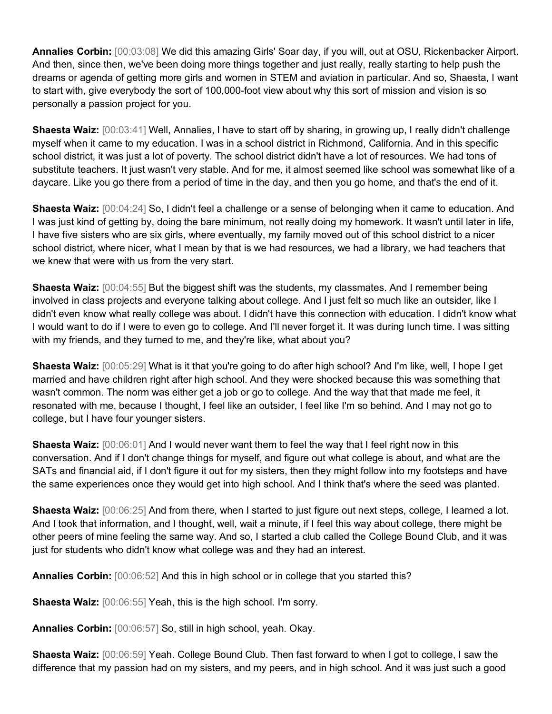**Annalies Corbin:** [00:03:08] We did this amazing Girls' Soar day, if you will, out at OSU, Rickenbacker Airport. And then, since then, we've been doing more things together and just really, really starting to help push the dreams or agenda of getting more girls and women in STEM and aviation in particular. And so, Shaesta, I want to start with, give everybody the sort of 100,000-foot view about why this sort of mission and vision is so personally a passion project for you.

**Shaesta Waiz:** [00:03:41] Well, Annalies, I have to start off by sharing, in growing up, I really didn't challenge myself when it came to my education. I was in a school district in Richmond, California. And in this specific school district, it was just a lot of poverty. The school district didn't have a lot of resources. We had tons of substitute teachers. It just wasn't very stable. And for me, it almost seemed like school was somewhat like of a daycare. Like you go there from a period of time in the day, and then you go home, and that's the end of it.

**Shaesta Waiz:** [00:04:24] So, I didn't feel a challenge or a sense of belonging when it came to education. And I was just kind of getting by, doing the bare minimum, not really doing my homework. It wasn't until later in life, I have five sisters who are six girls, where eventually, my family moved out of this school district to a nicer school district, where nicer, what I mean by that is we had resources, we had a library, we had teachers that we knew that were with us from the very start.

**Shaesta Waiz:** [00:04:55] But the biggest shift was the students, my classmates. And I remember being involved in class projects and everyone talking about college. And I just felt so much like an outsider, like I didn't even know what really college was about. I didn't have this connection with education. I didn't know what I would want to do if I were to even go to college. And I'll never forget it. It was during lunch time. I was sitting with my friends, and they turned to me, and they're like, what about you?

**Shaesta Waiz:** [00:05:29] What is it that you're going to do after high school? And I'm like, well, I hope I get married and have children right after high school. And they were shocked because this was something that wasn't common. The norm was either get a job or go to college. And the way that that made me feel, it resonated with me, because I thought, I feel like an outsider, I feel like I'm so behind. And I may not go to college, but I have four younger sisters.

**Shaesta Waiz:** [00:06:01] And I would never want them to feel the way that I feel right now in this conversation. And if I don't change things for myself, and figure out what college is about, and what are the SATs and financial aid, if I don't figure it out for my sisters, then they might follow into my footsteps and have the same experiences once they would get into high school. And I think that's where the seed was planted.

**Shaesta Waiz:** [00:06:25] And from there, when I started to just figure out next steps, college, I learned a lot. And I took that information, and I thought, well, wait a minute, if I feel this way about college, there might be other peers of mine feeling the same way. And so, I started a club called the College Bound Club, and it was just for students who didn't know what college was and they had an interest.

**Annalies Corbin:** [00:06:52] And this in high school or in college that you started this?

**Shaesta Waiz:** [00:06:55] Yeah, this is the high school. I'm sorry.

**Annalies Corbin:** [00:06:57] So, still in high school, yeah. Okay.

**Shaesta Waiz:** [00:06:59] Yeah. College Bound Club. Then fast forward to when I got to college, I saw the difference that my passion had on my sisters, and my peers, and in high school. And it was just such a good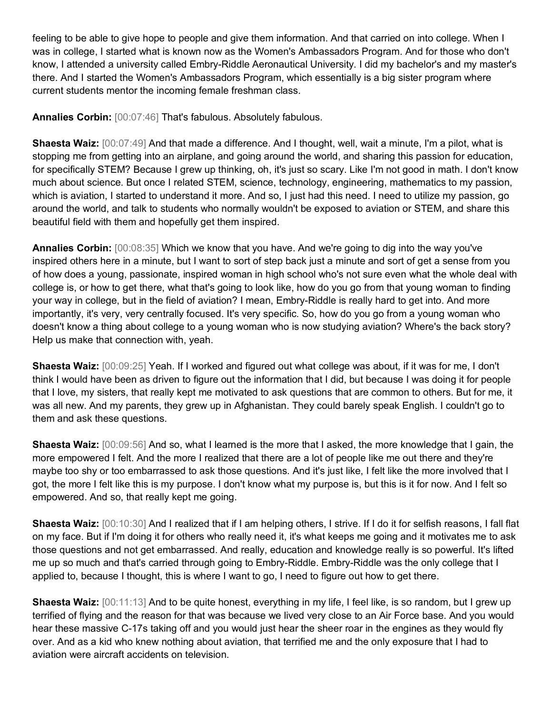feeling to be able to give hope to people and give them information. And that carried on into college. When I was in college, I started what is known now as the Women's Ambassadors Program. And for those who don't know, I attended a university called Embry-Riddle Aeronautical University. I did my bachelor's and my master's there. And I started the Women's Ambassadors Program, which essentially is a big sister program where current students mentor the incoming female freshman class.

**Annalies Corbin:** [00:07:46] That's fabulous. Absolutely fabulous.

**Shaesta Waiz:** [00:07:49] And that made a difference. And I thought, well, wait a minute, I'm a pilot, what is stopping me from getting into an airplane, and going around the world, and sharing this passion for education, for specifically STEM? Because I grew up thinking, oh, it's just so scary. Like I'm not good in math. I don't know much about science. But once I related STEM, science, technology, engineering, mathematics to my passion, which is aviation, I started to understand it more. And so, I just had this need. I need to utilize my passion, go around the world, and talk to students who normally wouldn't be exposed to aviation or STEM, and share this beautiful field with them and hopefully get them inspired.

**Annalies Corbin:** [00:08:35] Which we know that you have. And we're going to dig into the way you've inspired others here in a minute, but I want to sort of step back just a minute and sort of get a sense from you of how does a young, passionate, inspired woman in high school who's not sure even what the whole deal with college is, or how to get there, what that's going to look like, how do you go from that young woman to finding your way in college, but in the field of aviation? I mean, Embry-Riddle is really hard to get into. And more importantly, it's very, very centrally focused. It's very specific. So, how do you go from a young woman who doesn't know a thing about college to a young woman who is now studying aviation? Where's the back story? Help us make that connection with, yeah.

**Shaesta Waiz:** [00:09:25] Yeah. If I worked and figured out what college was about, if it was for me, I don't think I would have been as driven to figure out the information that I did, but because I was doing it for people that I love, my sisters, that really kept me motivated to ask questions that are common to others. But for me, it was all new. And my parents, they grew up in Afghanistan. They could barely speak English. I couldn't go to them and ask these questions.

**Shaesta Waiz:** [00:09:56] And so, what I learned is the more that I asked, the more knowledge that I gain, the more empowered I felt. And the more I realized that there are a lot of people like me out there and they're maybe too shy or too embarrassed to ask those questions. And it's just like, I felt like the more involved that I got, the more I felt like this is my purpose. I don't know what my purpose is, but this is it for now. And I felt so empowered. And so, that really kept me going.

**Shaesta Waiz:** [00:10:30] And I realized that if I am helping others, I strive. If I do it for selfish reasons, I fall flat on my face. But if I'm doing it for others who really need it, it's what keeps me going and it motivates me to ask those questions and not get embarrassed. And really, education and knowledge really is so powerful. It's lifted me up so much and that's carried through going to Embry-Riddle. Embry-Riddle was the only college that I applied to, because I thought, this is where I want to go, I need to figure out how to get there.

**Shaesta Waiz:** [00:11:13] And to be quite honest, everything in my life, I feel like, is so random, but I grew up terrified of flying and the reason for that was because we lived very close to an Air Force base. And you would hear these massive C-17s taking off and you would just hear the sheer roar in the engines as they would fly over. And as a kid who knew nothing about aviation, that terrified me and the only exposure that I had to aviation were aircraft accidents on television.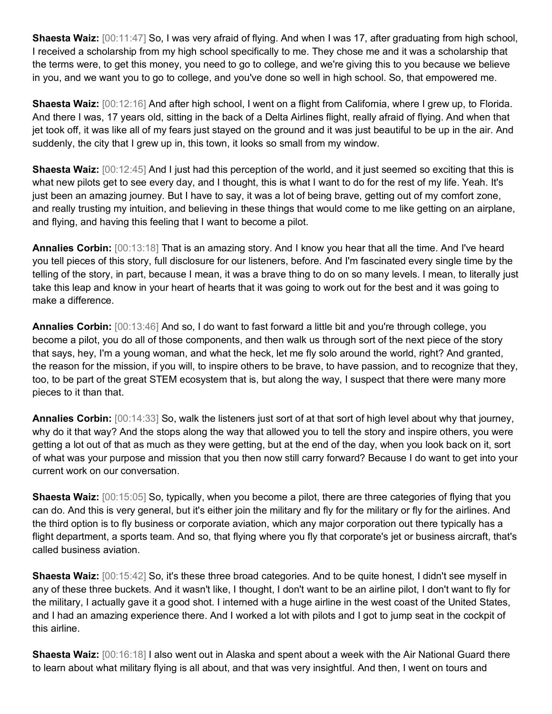**Shaesta Waiz:** [00:11:47] So, I was very afraid of flying. And when I was 17, after graduating from high school, I received a scholarship from my high school specifically to me. They chose me and it was a scholarship that the terms were, to get this money, you need to go to college, and we're giving this to you because we believe in you, and we want you to go to college, and you've done so well in high school. So, that empowered me.

**Shaesta Waiz:** [00:12:16] And after high school, I went on a flight from California, where I grew up, to Florida. And there I was, 17 years old, sitting in the back of a Delta Airlines flight, really afraid of flying. And when that jet took off, it was like all of my fears just stayed on the ground and it was just beautiful to be up in the air. And suddenly, the city that I grew up in, this town, it looks so small from my window.

**Shaesta Waiz:** [00:12:45] And I just had this perception of the world, and it just seemed so exciting that this is what new pilots get to see every day, and I thought, this is what I want to do for the rest of my life. Yeah. It's just been an amazing journey. But I have to say, it was a lot of being brave, getting out of my comfort zone, and really trusting my intuition, and believing in these things that would come to me like getting on an airplane, and flying, and having this feeling that I want to become a pilot.

**Annalies Corbin:** [00:13:18] That is an amazing story. And I know you hear that all the time. And I've heard you tell pieces of this story, full disclosure for our listeners, before. And I'm fascinated every single time by the telling of the story, in part, because I mean, it was a brave thing to do on so many levels. I mean, to literally just take this leap and know in your heart of hearts that it was going to work out for the best and it was going to make a difference.

**Annalies Corbin:** [00:13:46] And so, I do want to fast forward a little bit and you're through college, you become a pilot, you do all of those components, and then walk us through sort of the next piece of the story that says, hey, I'm a young woman, and what the heck, let me fly solo around the world, right? And granted, the reason for the mission, if you will, to inspire others to be brave, to have passion, and to recognize that they, too, to be part of the great STEM ecosystem that is, but along the way, I suspect that there were many more pieces to it than that.

**Annalies Corbin:** [00:14:33] So, walk the listeners just sort of at that sort of high level about why that journey, why do it that way? And the stops along the way that allowed you to tell the story and inspire others, you were getting a lot out of that as much as they were getting, but at the end of the day, when you look back on it, sort of what was your purpose and mission that you then now still carry forward? Because I do want to get into your current work on our conversation.

**Shaesta Waiz:** [00:15:05] So, typically, when you become a pilot, there are three categories of flying that you can do. And this is very general, but it's either join the military and fly for the military or fly for the airlines. And the third option is to fly business or corporate aviation, which any major corporation out there typically has a flight department, a sports team. And so, that flying where you fly that corporate's jet or business aircraft, that's called business aviation.

**Shaesta Waiz:** [00:15:42] So, it's these three broad categories. And to be quite honest, I didn't see myself in any of these three buckets. And it wasn't like, I thought, I don't want to be an airline pilot, I don't want to fly for the military, I actually gave it a good shot. I interned with a huge airline in the west coast of the United States, and I had an amazing experience there. And I worked a lot with pilots and I got to jump seat in the cockpit of this airline.

**Shaesta Waiz:** [00:16:18] I also went out in Alaska and spent about a week with the Air National Guard there to learn about what military flying is all about, and that was very insightful. And then, I went on tours and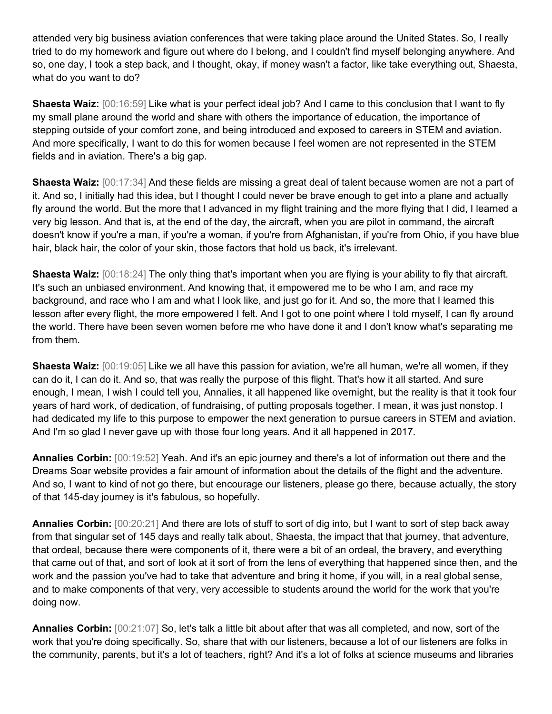attended very big business aviation conferences that were taking place around the United States. So, I really tried to do my homework and figure out where do I belong, and I couldn't find myself belonging anywhere. And so, one day, I took a step back, and I thought, okay, if money wasn't a factor, like take everything out, Shaesta, what do you want to do?

**Shaesta Waiz:** [00:16:59] Like what is your perfect ideal job? And I came to this conclusion that I want to fly my small plane around the world and share with others the importance of education, the importance of stepping outside of your comfort zone, and being introduced and exposed to careers in STEM and aviation. And more specifically, I want to do this for women because I feel women are not represented in the STEM fields and in aviation. There's a big gap.

**Shaesta Waiz:** [00:17:34] And these fields are missing a great deal of talent because women are not a part of it. And so, I initially had this idea, but I thought I could never be brave enough to get into a plane and actually fly around the world. But the more that I advanced in my flight training and the more flying that I did, I learned a very big lesson. And that is, at the end of the day, the aircraft, when you are pilot in command, the aircraft doesn't know if you're a man, if you're a woman, if you're from Afghanistan, if you're from Ohio, if you have blue hair, black hair, the color of your skin, those factors that hold us back, it's irrelevant.

**Shaesta Waiz:** [00:18:24] The only thing that's important when you are flying is your ability to fly that aircraft. It's such an unbiased environment. And knowing that, it empowered me to be who I am, and race my background, and race who I am and what I look like, and just go for it. And so, the more that I learned this lesson after every flight, the more empowered I felt. And I got to one point where I told myself, I can fly around the world. There have been seven women before me who have done it and I don't know what's separating me from them.

**Shaesta Waiz:** [00:19:05] Like we all have this passion for aviation, we're all human, we're all women, if they can do it, I can do it. And so, that was really the purpose of this flight. That's how it all started. And sure enough, I mean, I wish I could tell you, Annalies, it all happened like overnight, but the reality is that it took four years of hard work, of dedication, of fundraising, of putting proposals together. I mean, it was just nonstop. I had dedicated my life to this purpose to empower the next generation to pursue careers in STEM and aviation. And I'm so glad I never gave up with those four long years. And it all happened in 2017.

**Annalies Corbin:** [00:19:52] Yeah. And it's an epic journey and there's a lot of information out there and the Dreams Soar website provides a fair amount of information about the details of the flight and the adventure. And so, I want to kind of not go there, but encourage our listeners, please go there, because actually, the story of that 145-day journey is it's fabulous, so hopefully.

**Annalies Corbin:** [00:20:21] And there are lots of stuff to sort of dig into, but I want to sort of step back away from that singular set of 145 days and really talk about, Shaesta, the impact that that journey, that adventure, that ordeal, because there were components of it, there were a bit of an ordeal, the bravery, and everything that came out of that, and sort of look at it sort of from the lens of everything that happened since then, and the work and the passion you've had to take that adventure and bring it home, if you will, in a real global sense, and to make components of that very, very accessible to students around the world for the work that you're doing now.

**Annalies Corbin:** [00:21:07] So, let's talk a little bit about after that was all completed, and now, sort of the work that you're doing specifically. So, share that with our listeners, because a lot of our listeners are folks in the community, parents, but it's a lot of teachers, right? And it's a lot of folks at science museums and libraries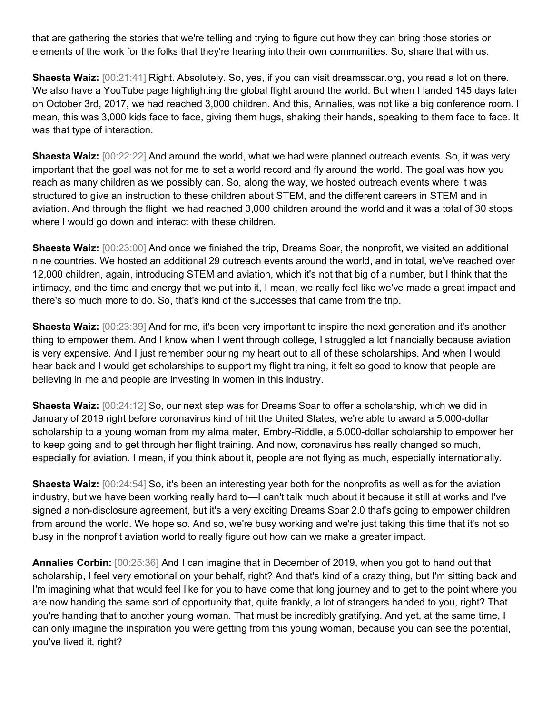that are gathering the stories that we're telling and trying to figure out how they can bring those stories or elements of the work for the folks that they're hearing into their own communities. So, share that with us.

**Shaesta Waiz:** [00:21:41] Right. Absolutely. So, yes, if you can visit dreamssoar.org, you read a lot on there. We also have a YouTube page highlighting the global flight around the world. But when I landed 145 days later on October 3rd, 2017, we had reached 3,000 children. And this, Annalies, was not like a big conference room. I mean, this was 3,000 kids face to face, giving them hugs, shaking their hands, speaking to them face to face. It was that type of interaction.

**Shaesta Waiz:** [00:22:22] And around the world, what we had were planned outreach events. So, it was very important that the goal was not for me to set a world record and fly around the world. The goal was how you reach as many children as we possibly can. So, along the way, we hosted outreach events where it was structured to give an instruction to these children about STEM, and the different careers in STEM and in aviation. And through the flight, we had reached 3,000 children around the world and it was a total of 30 stops where I would go down and interact with these children.

**Shaesta Waiz:**  $[00:23:00]$  And once we finished the trip, Dreams Soar, the nonprofit, we visited an additional nine countries. We hosted an additional 29 outreach events around the world, and in total, we've reached over 12,000 children, again, introducing STEM and aviation, which it's not that big of a number, but I think that the intimacy, and the time and energy that we put into it, I mean, we really feel like we've made a great impact and there's so much more to do. So, that's kind of the successes that came from the trip.

**Shaesta Waiz:** [00:23:39] And for me, it's been very important to inspire the next generation and it's another thing to empower them. And I know when I went through college, I struggled a lot financially because aviation is very expensive. And I just remember pouring my heart out to all of these scholarships. And when I would hear back and I would get scholarships to support my flight training, it felt so good to know that people are believing in me and people are investing in women in this industry.

**Shaesta Waiz:** [00:24:12] So, our next step was for Dreams Soar to offer a scholarship, which we did in January of 2019 right before coronavirus kind of hit the United States, we're able to award a 5,000-dollar scholarship to a young woman from my alma mater, Embry-Riddle, a 5,000-dollar scholarship to empower her to keep going and to get through her flight training. And now, coronavirus has really changed so much, especially for aviation. I mean, if you think about it, people are not flying as much, especially internationally.

**Shaesta Waiz:**  $[00:24:54]$  So, it's been an interesting year both for the nonprofits as well as for the aviation industry, but we have been working really hard to—I can't talk much about it because it still at works and I've signed a non-disclosure agreement, but it's a very exciting Dreams Soar 2.0 that's going to empower children from around the world. We hope so. And so, we're busy working and we're just taking this time that it's not so busy in the nonprofit aviation world to really figure out how can we make a greater impact.

**Annalies Corbin:** [00:25:36] And I can imagine that in December of 2019, when you got to hand out that scholarship, I feel very emotional on your behalf, right? And that's kind of a crazy thing, but I'm sitting back and I'm imagining what that would feel like for you to have come that long journey and to get to the point where you are now handing the same sort of opportunity that, quite frankly, a lot of strangers handed to you, right? That you're handing that to another young woman. That must be incredibly gratifying. And yet, at the same time, I can only imagine the inspiration you were getting from this young woman, because you can see the potential, you've lived it, right?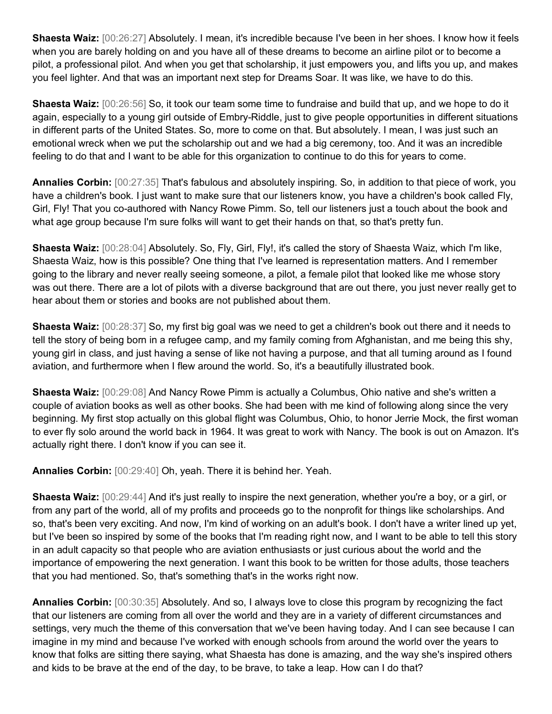**Shaesta Waiz:** [00:26:27] Absolutely. I mean, it's incredible because I've been in her shoes. I know how it feels when you are barely holding on and you have all of these dreams to become an airline pilot or to become a pilot, a professional pilot. And when you get that scholarship, it just empowers you, and lifts you up, and makes you feel lighter. And that was an important next step for Dreams Soar. It was like, we have to do this.

**Shaesta Waiz:** [00:26:56] So, it took our team some time to fundraise and build that up, and we hope to do it again, especially to a young girl outside of Embry-Riddle, just to give people opportunities in different situations in different parts of the United States. So, more to come on that. But absolutely. I mean, I was just such an emotional wreck when we put the scholarship out and we had a big ceremony, too. And it was an incredible feeling to do that and I want to be able for this organization to continue to do this for years to come.

**Annalies Corbin:** [00:27:35] That's fabulous and absolutely inspiring. So, in addition to that piece of work, you have a children's book. I just want to make sure that our listeners know, you have a children's book called Fly, Girl, Fly! That you co-authored with Nancy Rowe Pimm. So, tell our listeners just a touch about the book and what age group because I'm sure folks will want to get their hands on that, so that's pretty fun.

**Shaesta Waiz:** [00:28:04] Absolutely. So, Fly, Girl, Fly!, it's called the story of Shaesta Waiz, which I'm like, Shaesta Waiz, how is this possible? One thing that I've learned is representation matters. And I remember going to the library and never really seeing someone, a pilot, a female pilot that looked like me whose story was out there. There are a lot of pilots with a diverse background that are out there, you just never really get to hear about them or stories and books are not published about them.

**Shaesta Waiz:** [00:28:37] So, my first big goal was we need to get a children's book out there and it needs to tell the story of being born in a refugee camp, and my family coming from Afghanistan, and me being this shy, young girl in class, and just having a sense of like not having a purpose, and that all turning around as I found aviation, and furthermore when I flew around the world. So, it's a beautifully illustrated book.

**Shaesta Waiz:** [00:29:08] And Nancy Rowe Pimm is actually a Columbus, Ohio native and she's written a couple of aviation books as well as other books. She had been with me kind of following along since the very beginning. My first stop actually on this global flight was Columbus, Ohio, to honor Jerrie Mock, the first woman to ever fly solo around the world back in 1964. It was great to work with Nancy. The book is out on Amazon. It's actually right there. I don't know if you can see it.

**Annalies Corbin:** [00:29:40] Oh, yeah. There it is behind her. Yeah.

**Shaesta Waiz:** [00:29:44] And it's just really to inspire the next generation, whether you're a boy, or a girl, or from any part of the world, all of my profits and proceeds go to the nonprofit for things like scholarships. And so, that's been very exciting. And now, I'm kind of working on an adult's book. I don't have a writer lined up yet, but I've been so inspired by some of the books that I'm reading right now, and I want to be able to tell this story in an adult capacity so that people who are aviation enthusiasts or just curious about the world and the importance of empowering the next generation. I want this book to be written for those adults, those teachers that you had mentioned. So, that's something that's in the works right now.

**Annalies Corbin:** [00:30:35] Absolutely. And so, I always love to close this program by recognizing the fact that our listeners are coming from all over the world and they are in a variety of different circumstances and settings, very much the theme of this conversation that we've been having today. And I can see because I can imagine in my mind and because I've worked with enough schools from around the world over the years to know that folks are sitting there saying, what Shaesta has done is amazing, and the way she's inspired others and kids to be brave at the end of the day, to be brave, to take a leap. How can I do that?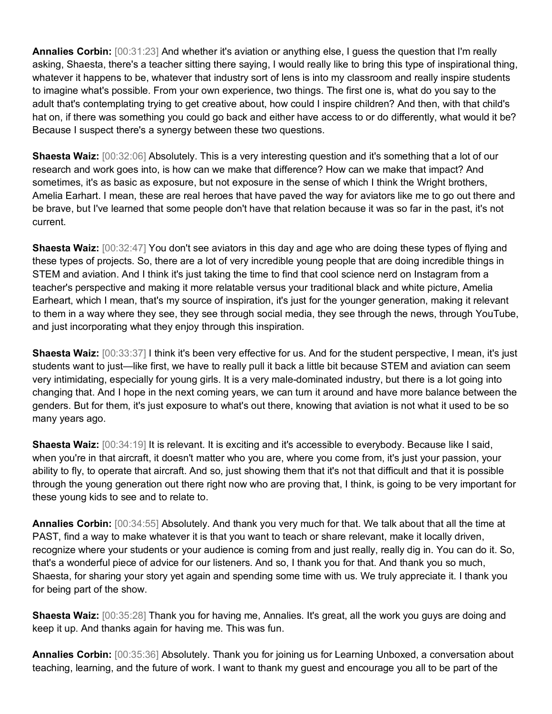**Annalies Corbin:** [00:31:23] And whether it's aviation or anything else, I guess the question that I'm really asking, Shaesta, there's a teacher sitting there saying, I would really like to bring this type of inspirational thing, whatever it happens to be, whatever that industry sort of lens is into my classroom and really inspire students to imagine what's possible. From your own experience, two things. The first one is, what do you say to the adult that's contemplating trying to get creative about, how could I inspire children? And then, with that child's hat on, if there was something you could go back and either have access to or do differently, what would it be? Because I suspect there's a synergy between these two questions.

**Shaesta Waiz:** [00:32:06] Absolutely. This is a very interesting question and it's something that a lot of our research and work goes into, is how can we make that difference? How can we make that impact? And sometimes, it's as basic as exposure, but not exposure in the sense of which I think the Wright brothers, Amelia Earhart. I mean, these are real heroes that have paved the way for aviators like me to go out there and be brave, but I've learned that some people don't have that relation because it was so far in the past, it's not current.

**Shaesta Waiz:** [00:32:47] You don't see aviators in this day and age who are doing these types of flying and these types of projects. So, there are a lot of very incredible young people that are doing incredible things in STEM and aviation. And I think it's just taking the time to find that cool science nerd on Instagram from a teacher's perspective and making it more relatable versus your traditional black and white picture, Amelia Earheart, which I mean, that's my source of inspiration, it's just for the younger generation, making it relevant to them in a way where they see, they see through social media, they see through the news, through YouTube, and just incorporating what they enjoy through this inspiration.

**Shaesta Waiz:**  $[00:33:37]$  I think it's been very effective for us. And for the student perspective, I mean, it's just students want to just—like first, we have to really pull it back a little bit because STEM and aviation can seem very intimidating, especially for young girls. It is a very male-dominated industry, but there is a lot going into changing that. And I hope in the next coming years, we can turn it around and have more balance between the genders. But for them, it's just exposure to what's out there, knowing that aviation is not what it used to be so many years ago.

**Shaesta Waiz:** [00:34:19] It is relevant. It is exciting and it's accessible to everybody. Because like I said, when you're in that aircraft, it doesn't matter who you are, where you come from, it's just your passion, your ability to fly, to operate that aircraft. And so, just showing them that it's not that difficult and that it is possible through the young generation out there right now who are proving that, I think, is going to be very important for these young kids to see and to relate to.

**Annalies Corbin:** [00:34:55] Absolutely. And thank you very much for that. We talk about that all the time at PAST, find a way to make whatever it is that you want to teach or share relevant, make it locally driven, recognize where your students or your audience is coming from and just really, really dig in. You can do it. So, that's a wonderful piece of advice for our listeners. And so, I thank you for that. And thank you so much, Shaesta, for sharing your story yet again and spending some time with us. We truly appreciate it. I thank you for being part of the show.

**Shaesta Waiz:** [00:35:28] Thank you for having me, Annalies. It's great, all the work you guys are doing and keep it up. And thanks again for having me. This was fun.

**Annalies Corbin:** [00:35:36] Absolutely. Thank you for joining us for Learning Unboxed, a conversation about teaching, learning, and the future of work. I want to thank my guest and encourage you all to be part of the